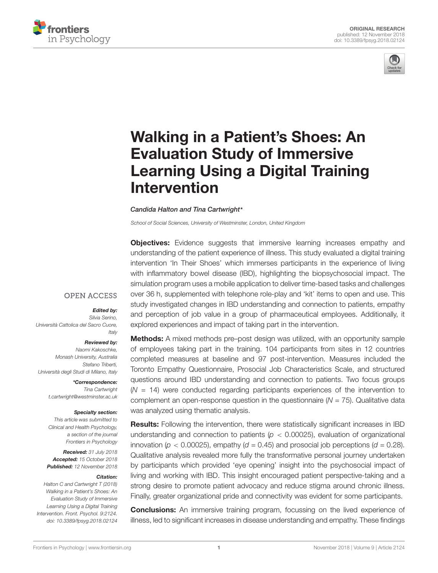



# Walking in a Patient's Shoes: An Evaluation Study of Immersive [Learning Using a Digital Training](https://www.frontiersin.org/articles/10.3389/fpsyg.2018.02124/full) Intervention

#### [Candida Halton](http://loop.frontiersin.org/people/581522/overview) and [Tina Cartwright](http://loop.frontiersin.org/people/478341/overview)\*

School of Social Sciences, University of Westminster, London, United Kingdom

**Objectives:** Evidence suggests that immersive learning increases empathy and understanding of the patient experience of illness. This study evaluated a digital training intervention 'In Their Shoes' which immerses participants in the experience of living with inflammatory bowel disease (IBD), highlighting the biopsychosocial impact. The simulation program uses a mobile application to deliver time-based tasks and challenges over 36 h, supplemented with telephone role-play and 'kit' items to open and use. This study investigated changes in IBD understanding and connection to patients, empathy and perception of job value in a group of pharmaceutical employees. Additionally, it explored experiences and impact of taking part in the intervention.

#### **OPEN ACCESS**

#### Edited by:

Silvia Serino, Università Cattolica del Sacro Cuore, **Italy** 

Reviewed by: Naomi Kakoschke, Monash University, Australia Stefano Triberti, Università degli Studi di Milano, Italy

> \*Correspondence: Tina Cartwright t.cartwright@westminster.ac.uk

#### Specialty section:

This article was submitted to Clinical and Health Psychology, a section of the journal Frontiers in Psychology

Received: 31 July 2018 Accepted: 15 October 2018 Published: 12 November 2018

#### Citation:

Halton C and Cartwright T (2018) Walking in a Patient's Shoes: An Evaluation Study of Immersive Learning Using a Digital Training Intervention. Front. Psychol. 9:2124. doi: [10.3389/fpsyg.2018.02124](https://doi.org/10.3389/fpsyg.2018.02124) **Methods:** A mixed methods pre–post design was utilized, with an opportunity sample of employees taking part in the training. 104 participants from sites in 12 countries completed measures at baseline and 97 post-intervention. Measures included the Toronto Empathy Questionnaire, Prosocial Job Characteristics Scale, and structured questions around IBD understanding and connection to patients. Two focus groups  $(N = 14)$  were conducted regarding participants experiences of the intervention to complement an open-response question in the questionnaire  $(N = 75)$ . Qualitative data was analyzed using thematic analysis.

Results: Following the intervention, there were statistically significant increases in IBD understanding and connection to patients ( $p < 0.00025$ ), evaluation of organizational innovation ( $p < 0.00025$ ), empathy ( $d = 0.45$ ) and prosocial job perceptions ( $d = 0.28$ ). Qualitative analysis revealed more fully the transformative personal journey undertaken by participants which provided 'eye opening' insight into the psychosocial impact of living and working with IBD. This insight encouraged patient perspective-taking and a strong desire to promote patient advocacy and reduce stigma around chronic illness. Finally, greater organizational pride and connectivity was evident for some participants.

**Conclusions:** An immersive training program, focussing on the lived experience of illness, led to significant increases in disease understanding and empathy. These findings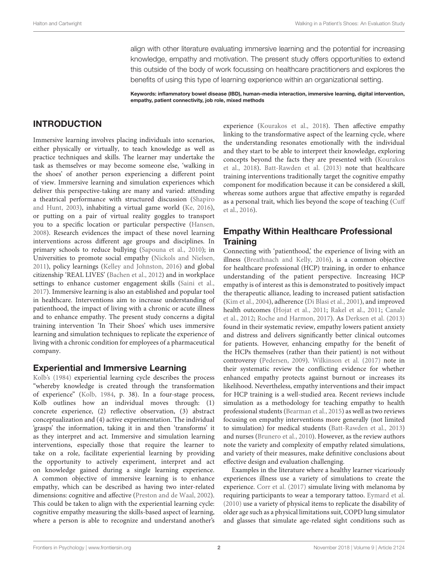align with other literature evaluating immersive learning and the potential for increasing knowledge, empathy and motivation. The present study offers opportunities to extend this outside of the body of work focussing on healthcare practitioners and explores the benefits of using this type of learning experience within an organizational setting.

Keywords: inflammatory bowel disease (IBD), human–media interaction, immersive learning, digital intervention, empathy, patient connectivity, job role, mixed methods

### INTRODUCTION

Immersive learning involves placing individuals into scenarios, either physically or virtually, to teach knowledge as well as practice techniques and skills. The learner may undertake the task as themselves or may become someone else, 'walking in the shoes' of another person experiencing a different point of view. Immersive learning and simulation experiences which deliver this perspective-taking are many and varied: attending a theatrical performance with structured discussion [\(Shapiro](#page-12-0) [and Hunt,](#page-12-0) [2003\)](#page-12-0), inhabiting a virtual game world [\(Ke,](#page-11-0) [2016\)](#page-11-0), or putting on a pair of virtual reality goggles to transport you to a specific location or particular perspective [\(Hansen,](#page-11-1) [2008\)](#page-11-1). Research evidences the impact of these novel learning interventions across different age groups and disciplines. In primary schools to reduce bullying [\(Sapouna et al.,](#page-12-1) [2010\)](#page-12-1); in Universities to promote social empathy [\(Nickols and Nielsen,](#page-12-2) [2011\)](#page-12-2), policy learnings [\(Kelley and Johnston,](#page-11-2) [2016\)](#page-11-2) and global citizenship 'REAL LIVES' [\(Bachen et al.,](#page-11-3) [2012\)](#page-11-3) and in workplace settings to enhance customer engagement skills [\(Saini et al.,](#page-12-3) [2017\)](#page-12-3). Immersive learning is also an established and popular tool in healthcare. Interventions aim to increase understanding of patienthood, the impact of living with a chronic or acute illness and to enhance empathy. The present study concerns a digital training intervention 'In Their Shoes' which uses immersive learning and simulation techniques to replicate the experience of living with a chronic condition for employees of a pharmaceutical company.

#### Experiential and Immersive Learning

[Kolb'](#page-11-4)s [\(1984\)](#page-11-4) experiential learning cycle describes the process "whereby knowledge is created through the transformation of experience" [\(Kolb,](#page-11-4) [1984,](#page-11-4) p. 38). In a four-stage process, Kolb outlines how an individual moves through: (1) concrete experience, (2) reflective observation, (3) abstract conceptualization and (4) active experimentation. The individual 'grasps' the information, taking it in and then 'transforms' it as they interpret and act. Immersive and simulation learning interventions, especially those that require the learner to take on a role, facilitate experiential learning by providing the opportunity to actively experiment, interpret and act on knowledge gained during a single learning experience. A common objective of immersive learning is to enhance empathy, which can be described as having two inter-related dimensions: cognitive and affective [\(Preston and de Waal,](#page-12-4) [2002\)](#page-12-4). This could be taken to align with the experiential learning cycle: cognitive empathy measuring the skills-based aspect of learning, where a person is able to recognize and understand another's

experience [\(Kourakos et al.,](#page-11-5) [2018\)](#page-11-5). Then affective empathy linking to the transformative aspect of the learning cycle, where the understanding resonates emotionally with the individual and they start to be able to interpret their knowledge, exploring concepts beyond the facts they are presented with [\(Kourakos](#page-11-5) [et al.,](#page-11-5) [2018\)](#page-11-5). [Batt-Rawden et al.](#page-11-6) [\(2013\)](#page-11-6) note that healthcare training interventions traditionally target the cognitive empathy component for modification because it can be considered a skill, whereas some authors argue that affective empathy is regarded as a personal trait, which lies beyond the scope of teaching [\(Cuff](#page-11-7) [et al.,](#page-11-7) [2016\)](#page-11-7).

# Empathy Within Healthcare Professional **Training**

Connecting with 'patienthood,' the experience of living with an illness [\(Breathnach and Kelly,](#page-11-8) [2016\)](#page-11-8), is a common objective for healthcare professional (HCP) training, in order to enhance understanding of the patient perspective. Increasing HCP empathy is of interest as this is demonstrated to positively impact the therapeutic alliance, leading to increased patient satisfaction [\(Kim et al.,](#page-11-9) [2004\)](#page-11-9), adherence [\(Di Blasi et al.,](#page-11-10) [2001\)](#page-11-10), and improved health outcomes [\(Hojat et al.,](#page-11-11) [2011;](#page-11-11) [Rakel et al.,](#page-12-5) [2011;](#page-12-5) [Canale](#page-11-12) [et al.,](#page-11-12) [2012;](#page-11-12) [Roche and Harmon,](#page-12-6) [2017\)](#page-12-6). As [Derksen et al.](#page-11-13) [\(2013\)](#page-11-13) found in their systematic review, empathy lowers patient anxiety and distress and delivers significantly better clinical outcomes for patients. However, enhancing empathy for the benefit of the HCPs themselves (rather than their patient) is not without controversy [\(Pedersen,](#page-12-7) [2009\)](#page-12-7). [Wilkinson et al.](#page-12-8) [\(2017\)](#page-12-8) note in their systematic review the conflicting evidence for whether enhanced empathy protects against burnout or increases its likelihood. Nevertheless, empathy interventions and their impact for HCP training is a well-studied area. Recent reviews include simulation as a methodology for teaching empathy to health professional students [\(Bearman et al.,](#page-11-14) [2015\)](#page-11-14) as well as two reviews focusing on empathy interventions more generally (not limited to simulation) for medical students [\(Batt-Rawden et al.,](#page-11-6) [2013\)](#page-11-6) and nurses [\(Brunero et al.,](#page-11-15) [2010\)](#page-11-15). However, as the review authors note the variety and complexity of empathy related simulations, and variety of their measures, make definitive conclusions about effective design and evaluation challenging.

Examples in the literature where a healthy learner vicariously experiences illness use a variety of simulations to create the experience. [Corr et al.](#page-11-16) [\(2017\)](#page-11-16) simulate living with melanoma by requiring participants to wear a temporary tattoo. [Eymard et al.](#page-11-17) [\(2010\)](#page-11-17) use a variety of physical items to replicate the disability of older age such as a physical limitations suit, COPD lung simulator and glasses that simulate age-related sight conditions such as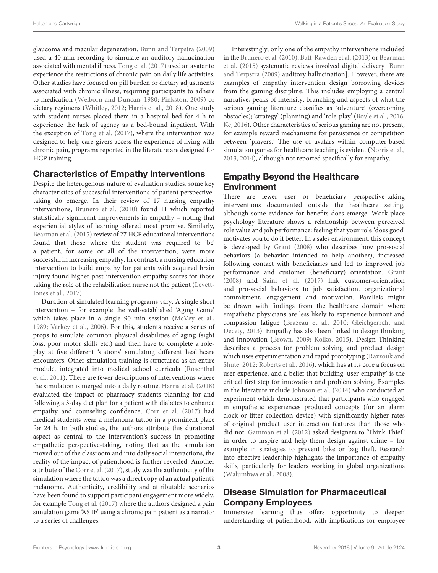glaucoma and macular degeneration. [Bunn and Terpstra](#page-11-18) [\(2009\)](#page-11-18) used a 40-min recording to simulate an auditory hallucination associated with mental illness. [Tong et al.](#page-12-9) [\(2017\)](#page-12-9) used an avatar to experience the restrictions of chronic pain on daily life activities. Other studies have focused on pill burden or dietary adjustments associated with chronic illness, requiring participants to adhere to medication [\(Welborn and Duncan,](#page-12-10) [1980;](#page-12-10) [Pinkston,](#page-12-11) [2009\)](#page-12-11) or dietary regimens [\(Whitley,](#page-12-12) [2012;](#page-12-12) [Harris et al.,](#page-11-19) [2018\)](#page-11-19). One study with student nurses placed them in a hospital bed for 4 h to experience the lack of agency as a bed-bound inpatient. With the exception of [Tong et al.](#page-12-9) [\(2017\)](#page-12-9), where the intervention was designed to help care-givers access the experience of living with chronic pain, programs reported in the literature are designed for HCP training.

### Characteristics of Empathy Interventions

Despite the heterogenous nature of evaluation studies, some key characteristics of successful interventions of patient perspectivetaking do emerge. In their review of 17 nursing empathy interventions, [Brunero et al.](#page-11-15) [\(2010\)](#page-11-15) found 11 which reported statistically significant improvements in empathy – noting that experiential styles of learning offered most promise. Similarly, [Bearman et al.](#page-11-14) [\(2015\)](#page-11-14) review of 27 HCP educational interventions found that those where the student was required to 'be' a patient, for some or all of the intervention, were more successful in increasing empathy. In contrast, a nursing education intervention to build empathy for patients with acquired brain injury found higher post-intervention empathy scores for those taking the role of the rehabilitation nurse not the patient [\(Levett-](#page-11-20)[Jones et al.,](#page-11-20) [2017\)](#page-11-20).

Duration of simulated learning programs vary. A single short intervention – for example the well-established 'Aging Game' which takes place in a single 90 min session [\(McVey et al.,](#page-12-13) [1989;](#page-12-13) [Varkey et al.,](#page-12-14) [2006\)](#page-12-14). For this, students receive a series of props to simulate common physical disabilities of aging (sight loss, poor motor skills etc.) and then have to complete a roleplay at five different 'stations' simulating different healthcare encounters. Other simulation training is structured as an entire module, integrated into medical school curricula [\(Rosenthal](#page-12-15) [et al.,](#page-12-15) [2011\)](#page-12-15). There are fewer descriptions of interventions where the simulation is merged into a daily routine. [Harris et al.](#page-11-19) [\(2018\)](#page-11-19) evaluated the impact of pharmacy students planning for and following a 3-day diet plan for a patient with diabetes to enhance empathy and counseling confidence; [Corr et al.](#page-11-16) [\(2017\)](#page-11-16) had medical students wear a melanoma tattoo in a prominent place for 24 h. In both studies, the authors attribute this durational aspect as central to the intervention's success in promoting empathetic perspective-taking, noting that as the simulation moved out of the classroom and into daily social interactions, the reality of the impact of patienthood is further revealed. Another attribute of the [Corr et al.](#page-11-16) [\(2017\)](#page-11-16), study was the authenticity of the simulation where the tattoo was a direct copy of an actual patient's melanoma. Authenticity, credibility and attributable scenarios have been found to support participant engagement more widely, for example [Tong et al.](#page-12-9) [\(2017\)](#page-12-9) where the authors designed a pain simulation game 'AS IF' using a chronic pain patient as a narrator to a series of challenges.

Interestingly, only one of the empathy interventions included in the [Brunero et al.](#page-11-15) [\(2010\)](#page-11-15); [Batt-Rawden et al.](#page-11-6) [\(2013\)](#page-11-6) or [Bearman](#page-11-14) [et al.](#page-11-14) [\(2015\)](#page-11-14) systematic reviews involved digital delivery [\[Bunn](#page-11-18) [and Terpstra](#page-11-18) [\(2009\)](#page-11-18) auditory hallucination]. However, there are examples of empathy intervention design borrowing devices from the gaming discipline. This includes employing a central narrative, peaks of intensity, branching and aspects of what the serious gaming literature classifies as 'adventure' (overcoming obstacles); 'strategy' (planning) and 'role-play' [\(Boyle et al.,](#page-11-21) [2016;](#page-11-21) [Ke,](#page-11-0) [2016\)](#page-11-0). Other characteristics of serious gaming are not present, for example reward mechanisms for persistence or competition between 'players.' The use of avatars within computer-based simulation games for healthcare teaching is evident [\(Norris et al.,](#page-12-16) [2013,](#page-12-16) [2014\)](#page-12-17), although not reported specifically for empathy.

# Empathy Beyond the Healthcare Environment

There are fewer user or beneficiary perspective-taking interventions documented outside the healthcare setting, although some evidence for benefits does emerge. Work-place psychology literature shows a relationship between perceived role value and job performance: feeling that your role 'does good' motivates you to do it better. In a sales environment, this concept is developed by [Grant](#page-11-22) [\(2008\)](#page-11-22) who describes how pro-social behaviors (a behavior intended to help another), increased following contact with beneficiaries and led to improved job performance and customer (beneficiary) orientation. [Grant](#page-11-22) [\(2008\)](#page-11-22) and [Saini et al.](#page-12-3) [\(2017\)](#page-12-3) link customer-orientation and pro-social behaviors to job satisfaction, organizational commitment, engagement and motivation. Parallels might be drawn with findings from the healthcare domain where empathetic physicians are less likely to experience burnout and compassion fatigue [\(Brazeau et al.,](#page-11-23) [2010;](#page-11-23) [Gleichgerrcht and](#page-11-24) [Decety,](#page-11-24) [2013\)](#page-11-24). Empathy has also been linked to design thinking and innovation [\(Brown,](#page-11-25) [2009;](#page-11-25) [Kolko,](#page-11-26) [2015\)](#page-11-26). Design Thinking describes a process for problem solving and product design which uses experimentation and rapid prototyping [\(Razzouk and](#page-12-18) [Shute,](#page-12-18) [2012;](#page-12-18) [Roberts et al.,](#page-12-19) [2016\)](#page-12-19), which has at its core a focus on user experience, and a belief that building 'user-empathy' is the critical first step for innovation and problem solving. Examples in the literature include [Johnson et al.](#page-11-27) [\(2014\)](#page-11-27) who conducted an experiment which demonstrated that participants who engaged in empathetic experiences produced concepts (for an alarm clock or litter collection device) with significantly higher rates of original product user interaction features than those who did not. [Gamman et al.](#page-11-28) [\(2012\)](#page-11-28) asked designers to 'Think Thief' in order to inspire and help them design against crime – for example in strategies to prevent bike or bag theft. Research into effective leadership highlights the importance of empathy skills, particularly for leaders working in global organizations [\(Walumbwa et al.,](#page-12-20) [2008\)](#page-12-20).

# Disease Simulation for Pharmaceutical Company Employees

Immersive learning thus offers opportunity to deepen understanding of patienthood, with implications for employee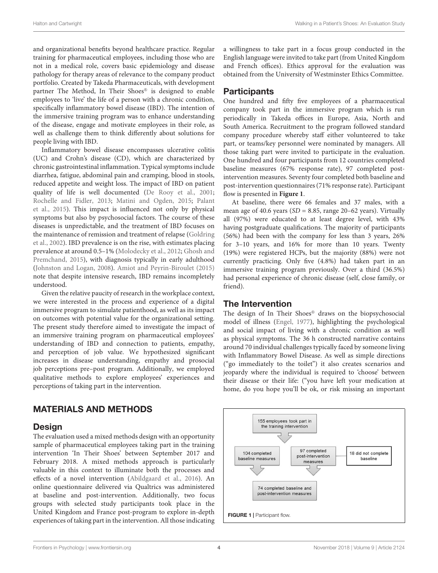and organizational benefits beyond healthcare practice. Regular training for pharmaceutical employees, including those who are not in a medical role, covers basic epidemiology and disease pathology for therapy areas of relevance to the company product portfolio. Created by Takeda Pharmaceuticals, with development partner The Method, In Their Shoes® is designed to enable employees to 'live' the life of a person with a chronic condition, specifically inflammatory bowel disease (IBD). The intention of the immersive training program was to enhance understanding of the disease, engage and motivate employees in their role, as well as challenge them to think differently about solutions for people living with IBD.

Inflammatory bowel disease encompasses ulcerative colitis (UC) and Crohn's disease (CD), which are characterized by chronic gastrointestinal inflammation. Typical symptoms include diarrhea, fatigue, abdominal pain and cramping, blood in stools, reduced appetite and weight loss. The impact of IBD on patient quality of life is well documented [\(De Rooy et al.,](#page-11-29) [2001;](#page-11-29) [Rochelle and Fidler,](#page-12-21) [2013;](#page-12-21) [Matini and Ogden,](#page-11-30) [2015;](#page-11-30) [Palant](#page-12-22) [et al.,](#page-12-22) [2015\)](#page-12-22). This impact is influenced not only by physical symptoms but also by psychosocial factors. The course of these diseases is unpredictable, and the treatment of IBD focuses on the maintenance of remission and treatment of relapse [\(Goldring](#page-11-31) [et al.,](#page-11-31) [2002\)](#page-11-31). IBD prevalence is on the rise, with estimates placing prevalence at around 0.5–1% [\(Molodecky et al.,](#page-12-23) [2012;](#page-12-23) [Ghosh and](#page-11-32) [Premchand,](#page-11-32) [2015\)](#page-11-32), with diagnosis typically in early adulthood [\(Johnston and Logan,](#page-11-33) [2008\)](#page-11-33). [Amiot and Peyrin-Biroulet](#page-11-34) [\(2015\)](#page-11-34) note that despite intensive research, IBD remains incompletely understood.

Given the relative paucity of research in the workplace context, we were interested in the process and experience of a digital immersive program to simulate patienthood, as well as its impact on outcomes with potential value for the organizational setting. The present study therefore aimed to investigate the impact of an immersive training program on pharmaceutical employees' understanding of IBD and connection to patients, empathy, and perception of job value. We hypothesized significant increases in disease understanding, empathy and prosocial job perceptions pre–post program. Additionally, we employed qualitative methods to explore employees' experiences and perceptions of taking part in the intervention.

### MATERIALS AND METHODS

#### **Design**

The evaluation used a mixed methods design with an opportunity sample of pharmaceutical employees taking part in the training intervention 'In Their Shoes' between September 2017 and February 2018. A mixed methods approach is particularly valuable in this context to illuminate both the processes and effects of a novel intervention [\(Abildgaard et al.,](#page-11-35) [2016\)](#page-11-35). An online questionnaire delivered via Qualtrics was administered at baseline and post-intervention. Additionally, two focus groups with selected study participants took place in the United Kingdom and France post-program to explore in-depth experiences of taking part in the intervention. All those indicating

a willingness to take part in a focus group conducted in the English language were invited to take part (from United Kingdom and French offices). Ethics approval for the evaluation was obtained from the University of Westminster Ethics Committee.

### **Participants**

One hundred and fifty five employees of a pharmaceutical company took part in the immersive program which is run periodically in Takeda offices in Europe, Asia, North and South America. Recruitment to the program followed standard company procedure whereby staff either volunteered to take part, or teams/key personnel were nominated by managers. All those taking part were invited to participate in the evaluation. One hundred and four participants from 12 countries completed baseline measures (67% response rate), 97 completed postintervention measures. Seventy four completed both baseline and post-intervention questionnaires (71% response rate). Participant flow is presented in **[Figure 1](#page-3-0)**.

At baseline, there were 66 females and 37 males, with a mean age of 40.6 years ( $SD = 8.85$ , range 20–62 years). Virtually all (97%) were educated to at least degree level, with 43% having postgraduate qualifications. The majority of participants (56%) had been with the company for less than 3 years, 26% for 3–10 years, and 16% for more than 10 years. Twenty (19%) were registered HCPs, but the majority (88%) were not currently practicing. Only five (4.8%) had taken part in an immersive training program previously. Over a third (36.5%) had personal experience of chronic disease (self, close family, or friend).

### The Intervention

The design of In Their Shoes® draws on the biopsychosocial model of illness [\(Engel,](#page-11-36) [1977\)](#page-11-36), highlighting the psychological and social impact of living with a chronic condition as well as physical symptoms. The 36 h constructed narrative contains around 70 individual challenges typically faced by someone living with Inflammatory Bowel Disease. As well as simple directions ("go immediately to the toilet") it also creates scenarios and jeopardy where the individual is required to 'choose' between their disease or their life: ("you have left your medication at home, do you hope you'll be ok, or risk missing an important

<span id="page-3-0"></span>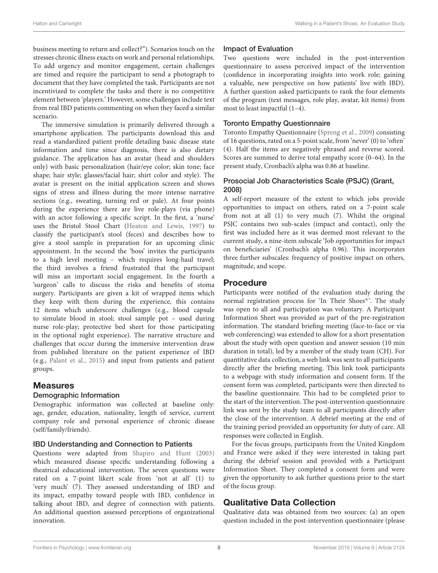business meeting to return and collect?"). Scenarios touch on the stresses chronic illness exacts on work and personal relationships. To add urgency and monitor engagement, certain challenges are timed and require the participant to send a photograph to document that they have completed the task. Participants are not incentivized to complete the tasks and there is no competitive element between 'players.' However, some challenges include text from real IBD patients commenting on when they faced a similar scenario.

The immersive simulation is primarily delivered through a smartphone application. The participants download this and read a standardized patient profile detailing basic disease state information and time since diagnosis, there is also dietary guidance. The application has an avatar (head and shoulders only) with basic personalization (hair/eye color; skin tone; face shape; hair style; glasses/facial hair; shirt color and style). The avatar is present on the initial application screen and shows signs of stress and illness during the more intense narrative sections (e.g., sweating, turning red or pale). At four points during the experience there are live role-plays (via phone) with an actor following a specific script. In the first, a 'nurse' uses the Bristol Stool Chart [\(Heaton and Lewis,](#page-11-37) [1997\)](#page-11-37) to classify the participant's stool (feces) and describes how to give a stool sample in preparation for an upcoming clinic appointment. In the second the 'boss' invites the participants to a high level meeting – which requires long-haul travel; the third involves a friend frustrated that the participant will miss an important social engagement. In the fourth a 'surgeon' calls to discuss the risks and benefits of stoma surgery. Participants are given a kit of wrapped items which they keep with them during the experience, this contains 12 items which underscore challenges (e.g., blood capsule to simulate blood in stool; stool sample pot – used during nurse role-play; protective bed sheet for those participating in the optional night experience). The narrative structure and challenges that occur during the immersive intervention draw from published literature on the patient experience of IBD (e.g., [Palant et al.,](#page-12-22) [2015\)](#page-12-22) and input from patients and patient groups.

#### **Measures**

#### Demographic Information

Demographic information was collected at baseline only: age, gender, education, nationality, length of service, current company role and personal experience of chronic disease (self/family/friends).

#### IBD Understanding and Connection to Patients

Questions were adapted from [Shapiro and Hunt](#page-12-0) [\(2003\)](#page-12-0) which measured disease specific understanding following a theatrical educational intervention. The seven questions were rated on a 7-point likert scale from 'not at all' (1) to 'very much' (7). They assessed understanding of IBD and its impact, empathy toward people with IBD, confidence in talking about IBD, and degree of connection with patients. An additional question assessed perceptions of organizational innovation.

#### Impact of Evaluation

Two questions were included in the post-intervention questionnaire to assess perceived impact of the intervention (confidence in incorporating insights into work role; gaining a valuable, new perspective on how patients' live with IBD). A further question asked participants to rank the four elements of the program (text messages, role play, avatar, kit items) from most to least impactful (1–4).

#### Toronto Empathy Questionnaire

Toronto Empathy Questionnaire [\(Spreng et al.,](#page-12-24) [2009\)](#page-12-24) consisting of 16 questions, rated on a 5-point scale, from 'never' (0) to 'often' (4). Half the items are negatively phrased and reverse scored. Scores are summed to derive total empathy score (0–64). In the present study, Cronbach's alpha was 0.86 at baseline.

#### Prosocial Job Characteristics Scale (PSJC) [\(Grant,](#page-11-22) [2008\)](#page-11-22)

A self-report measure of the extent to which jobs provide opportunities to impact on others, rated on a 7-point scale from not at all (1) to very much (7). Whilst the original PSJC contains two sub-scales (impact and contact), only the first was included here as it was deemed most relevant to the current study, a nine-item subscale 'Job opportunities for impact on beneficiaries' (Cronbach's alpha 0.96). This incorporates three further subscales: frequency of positive impact on others, magnitude, and scope.

#### Procedure

Participants were notified of the evaluation study during the normal registration process for 'In Their Shoes®'. The study was open to all and participation was voluntary. A Participant Information Sheet was provided as part of the pre-registration information. The standard briefing meeting (face-to-face or via web conferencing) was extended to allow for a short presentation about the study with open question and answer session (10 min duration in total), led by a member of the study team (CH). For quantitative data collection, a web link was sent to all participants directly after the briefing meeting. This link took participants to a webpage with study information and consent form. If the consent form was completed, participants were then directed to the baseline questionnaire. This had to be completed prior to the start of the intervention. The post-intervention questionnaire link was sent by the study team to all participants directly after the close of the intervention. A debrief meeting at the end of the training period provided an opportunity for duty of care. All responses were collected in English.

For the focus groups, participants from the United Kingdom and France were asked if they were interested in taking part during the debrief session and provided with a Participant Information Sheet. They completed a consent form and were given the opportunity to ask further questions prior to the start of the focus group.

### Qualitative Data Collection

Qualitative data was obtained from two sources: (a) an open question included in the post-intervention questionnaire (please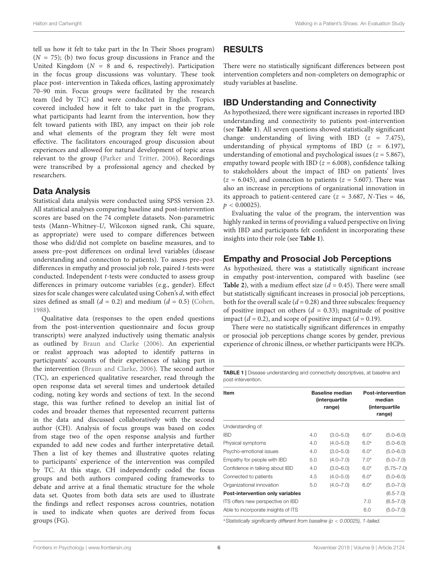tell us how it felt to take part in the In Their Shoes program)  $(N = 75)$ ; (b) two focus group discussions in France and the United Kingdom ( $N = 8$  and 6, respectively). Participation in the focus group discussions was voluntary. These took place post- intervention in Takeda offices, lasting approximately 70–90 min. Focus groups were facilitated by the research team (led by TC) and were conducted in English. Topics covered included how it felt to take part in the program, what participants had learnt from the intervention, how they felt toward patients with IBD, any impact on their job role and what elements of the program they felt were most effective. The facilitators encouraged group discussion about experiences and allowed for natural development of topic areas relevant to the group [\(Parker and Tritter,](#page-12-25) [2006\)](#page-12-25). Recordings were transcribed by a professional agency and checked by researchers.

#### Data Analysis

Statistical data analysis were conducted using SPSS version 23. All statistical analyses comparing baseline and post-intervention scores are based on the 74 complete datasets. Non-parametric tests (Mann–Whitney-U, Wilcoxon signed rank, Chi square, as appropriate) were used to compare differences between those who did/did not complete on baseline measures, and to assess pre–post differences on ordinal level variables (disease understanding and connection to patients). To assess pre–post differences in empathy and prosocial job role, paired t-tests were conducted. Independent t-tests were conducted to assess group differences in primary outcome variables (e.g., gender). Effect sizes for scale changes were calculated using Cohen's d, with effect sizes defined as small  $(d = 0.2)$  and medium  $(d = 0.5)$  [\(Cohen,](#page-11-38) [1988\)](#page-11-38).

Qualitative data (responses to the open ended questions from the post-intervention questionnaire and focus group transcripts) were analyzed inductively using thematic analysis as outlined by [Braun and Clarke](#page-11-39) [\(2006\)](#page-11-39). An experiential or realist approach was adopted to identify patterns in participants' accounts of their experiences of taking part in the intervention [\(Braun and Clarke,](#page-11-39) [2006\)](#page-11-39). The second author (TC), an experienced qualitative researcher, read through the open response data set several times and undertook detailed coding, noting key words and sections of text. In the second stage, this was further refined to develop an initial list of codes and broader themes that represented recurrent patterns in the data and discussed collaboratively with the second author (CH). Analysis of focus groups was based on codes from stage two of the open response analysis and further expanded to add new codes and further interpretative detail. Then a list of key themes and illustrative quotes relating to participants' experience of the intervention was compiled by TC. At this stage, CH independently coded the focus groups and both authors compared coding frameworks to debate and arrive at a final thematic structure for the whole data set. Quotes from both data sets are used to illustrate the findings and reflect responses across countries, notation is used to indicate when quotes are derived from focus groups (FG).

# RESULTS

There were no statistically significant differences between post intervention completers and non-completers on demographic or study variables at baseline.

### IBD Understanding and Connectivity

As hypothesized, there were significant increases in reported IBD understanding and connectivity to patients post-intervention (see **[Table 1](#page-5-0)**). All seven questions showed statistically significant change: understanding of living with IBD  $(z = 7.475)$ , understanding of physical symptoms of IBD  $(z = 6.197)$ , understanding of emotional and psychological issues ( $z = 5.867$ ), empathy toward people with IBD ( $z = 6.008$ ), confidence talking to stakeholders about the impact of IBD on patients' lives  $(z = 6.045)$ , and connection to patients  $(z = 5.607)$ . There was also an increase in perceptions of organizational innovation in its approach to patient-centered care ( $z = 3.687$ , N-Ties = 46,  $p < 0.00025$ ).

Evaluating the value of the program, the intervention was highly ranked in terms of providing a valued perspective on living with IBD and participants felt confident in incorporating these insights into their role (see **[Table 1](#page-5-0)**).

### Empathy and Prosocial Job Perceptions

As hypothesized, there was a statistically significant increase in empathy post-intervention, compared with baseline (see **[Table 2](#page-6-0)**), with a medium effect size  $(d = 0.45)$ . There were small but statistically significant increases in prosocial job perceptions, both for the overall scale ( $d = 0.28$ ) and three subscales: frequency of positive impact on others ( $d = 0.33$ ); magnitude of positive impact ( $d = 0.2$ ), and scope of positive impact ( $d = 0.19$ ).

There were no statistically significant differences in empathy or prosocial job perceptions change scores by gender, previous experience of chronic illness, or whether participants were HCPs.

<span id="page-5-0"></span>TABLE 1 | Disease understanding and connectivity descriptives, at baseline and post-intervention.

| <b>Item</b>                         |     | <b>Baseline median</b><br><i>(interquartile</i><br>range) | <b>Post-intervention</b><br>median<br>(interquartile<br>range) |                |
|-------------------------------------|-----|-----------------------------------------------------------|----------------------------------------------------------------|----------------|
| Understanding of:                   |     |                                                           |                                                                |                |
| <b>IBD</b>                          | 4.0 | $(3.0 - 5.0)$                                             | $6.0*$                                                         | $(5.0 - 6.0)$  |
| Physical symptoms                   | 4.0 | $(4.0 - 5.0)$                                             | $6.0*$                                                         | $(5.0 - 6.0)$  |
| Psycho-emotional issues             | 4.0 | $(3.0 - 5.0)$                                             | $6.0*$                                                         | $(5.0 - 6.0)$  |
| Empathy for people with IBD         | 5.0 | $(4.0 - 7.0)$                                             | $7.0*$                                                         | $(5.0 - 7.0)$  |
| Confidence in talking about IBD     | 4.0 | $(3.0 - 6.0)$                                             | $6.0*$                                                         | $(5.75 - 7.0)$ |
| Connected to patients               | 4.5 | $(4.0 - 5.0)$                                             | $6.0*$                                                         | $(5.0 - 6.0)$  |
| Organizational innovation           | 5.0 | $(4.0 - 7.0)$                                             | $6.0*$                                                         | $(5.0 - 7.0)$  |
| Post-intervention only variables    |     |                                                           |                                                                | $(6.5 - 7.0)$  |
| ITS offers new perspective on IBD   |     |                                                           | 7.0                                                            | $(6.5 - 7.0)$  |
| Able to incorporate insights of ITS |     |                                                           | 6.0                                                            | $(5.0 - 7.0)$  |

<sup>∗</sup>Statistically significantly different from baseline (p < 0.00025), 1-tailed.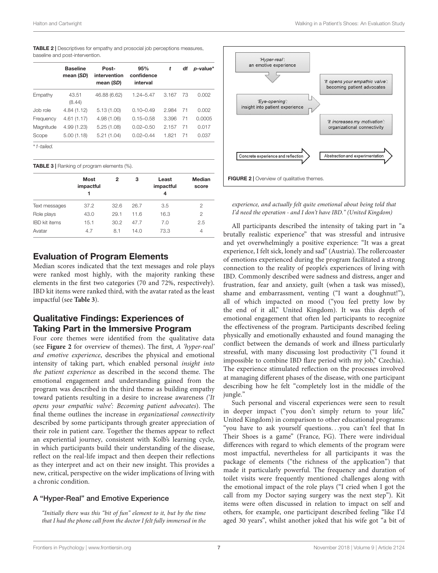baseline and post-intervention.

|           | <b>Baseline</b><br>mean (SD) | Post-<br>intervention<br>mean (SD) | 95%<br>confidence<br>interval | t     | df | <i>p</i> -value* |
|-----------|------------------------------|------------------------------------|-------------------------------|-------|----|------------------|
| Empathy   | 43.51<br>(8.44)              | 46.88 (6.62)                       | $1.24 - 5.47$                 | 3.167 | 73 | 0.002            |
| Job role  | 4.84(1.12)                   | 5.13(1.00)                         | $0.10 - 0.49$                 | 2.984 | 71 | 0.002            |
| Frequency | 4.61(1.17)                   | 4.98 (1.06)                        | $0.15 - 0.58$                 | 3.396 | 71 | 0.0005           |
| Magnitude | 4.99 (1.23)                  | 5.25(1.08)                         | $0.02 - 0.50$                 | 2.157 | 71 | 0.017            |
| Scope     | 5.00(1.18)                   | 5.21(1.04)                         | $0.02 - 0.44$                 | 1.821 | 71 | 0.037            |

<span id="page-6-0"></span>TABLE 2 | Descriptives for empathy and prosocial job perceptions measures,

<span id="page-6-1"></span>TABLE 3 | Ranking of program elements (%).

|                      | <b>Most</b><br>impactful | 2    | з    | Least<br>impactful<br>4 | Median<br>score |
|----------------------|--------------------------|------|------|-------------------------|-----------------|
| Text messages        | 37.2                     | 32.6 | 26.7 | 3.5                     | 2               |
| Role plays           | 43.0                     | 29.1 | 11.6 | 16.3                    | 2               |
| <b>IBD</b> kit items | 15.1                     | 30.2 | 47.7 | 7.0                     | 2.5             |
| Avatar               | 4.7                      | 8.1  | 14.0 | 73.3                    | 4               |

### Evaluation of Program Elements

Median scores indicated that the text messages and role plays were ranked most highly, with the majority ranking these elements in the first two categories (70 and 72%, respectively). IBD kit items were ranked third, with the avatar rated as the least impactful (see **[Table 3](#page-6-1)**).

### Qualitative Findings: Experiences of Taking Part in the Immersive Program

Four core themes were identified from the qualitative data (see **[Figure 2](#page-6-2)** for overview of themes). The first, A 'hyper-real' and emotive experience, describes the physical and emotional intensity of taking part, which enabled personal insight into the patient experience as described in the second theme. The emotional engagement and understanding gained from the program was described in the third theme as building empathy toward patients resulting in a desire to increase awareness ('It opens your empathic valve': Becoming patient advocates). The final theme outlines the increase in organizational connectivity described by some participants through greater appreciation of their role in patient care. Together the themes appear to reflect an experiential journey, consistent with Kolb's learning cycle, in which participants build their understanding of the disease, reflect on the real-life impact and then deepen their reflections as they interpret and act on their new insight. This provides a new, critical, perspective on the wider implications of living with a chronic condition.

#### A "Hyper-Real" and Emotive Experience

"Initially there was this "bit of fun" element to it, but by the time that I had the phone call from the doctor I felt fully immersed in the



<span id="page-6-2"></span>experience, and actually felt quite emotional about being told that I'd need the operation - and I don't have IBD." (United Kingdom)

All participants described the intensity of taking part in "a brutally realistic experience" that was stressful and intrusive and yet overwhelmingly a positive experience: "It was a great experience, I felt sick, lonely and sad" (Austria). The rollercoaster of emotions experienced during the program facilitated a strong connection to the reality of people's experiences of living with IBD. Commonly described were sadness and distress, anger and frustration, fear and anxiety, guilt (when a task was missed), shame and embarrassment, venting ("I want a doughnut!"), all of which impacted on mood ("you feel pretty low by the end of it all," United Kingdom). It was this depth of emotional engagement that often led participants to recognize the effectiveness of the program. Participants described feeling physically and emotionally exhausted and found managing the conflict between the demands of work and illness particularly stressful, with many discussing lost productivity ("I found it impossible to combine IBD flare period with my job," Czechia). The experience stimulated reflection on the processes involved at managing different phases of the disease, with one participant describing how he felt "completely lost in the middle of the jungle."

Such personal and visceral experiences were seen to result in deeper impact ("you don't simply return to your life," United Kingdom) in comparison to other educational programs: "you have to ask yourself questions. . .you can't feel that In Their Shoes is a game" (France, FG). There were individual differences with regard to which elements of the program were most impactful, nevertheless for all participants it was the package of elements ("the richness of the application") that made it particularly powerful. The frequency and duration of toilet visits were frequently mentioned challenges along with the emotional impact of the role plays ("I cried when I got the call from my Doctor saying surgery was the next step"). Kit items were often discussed in relation to impact on self and others, for example, one participant described feeling "like I'd aged 30 years", whilst another joked that his wife got "a bit of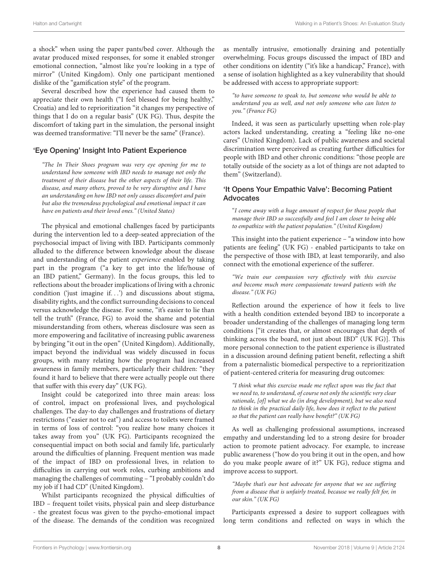a shock" when using the paper pants/bed cover. Although the avatar produced mixed responses, for some it enabled stronger emotional connection, "almost like you're looking in a type of mirror" (United Kingdom). Only one participant mentioned dislike of the "gamification style" of the program.

Several described how the experience had caused them to appreciate their own health ("I feel blessed for being healthy," Croatia) and led to reprioritization "it changes my perspective of things that I do on a regular basis" (UK FG). Thus, despite the discomfort of taking part in the simulation, the personal insight was deemed transformative: "I'll never be the same" (France).

#### 'Eye Opening' Insight Into Patient Experience

"The In Their Shoes program was very eye opening for me to understand how someone with IBD needs to manage not only the treatment of their disease but the other aspects of their life. This disease, and many others, proved to be very disruptive and I have an understanding on how IBD not only causes discomfort and pain but also the tremendous psychological and emotional impact it can have on patients and their loved ones." (United States)

The physical and emotional challenges faced by participants during the intervention led to a deep-seated appreciation of the psychosocial impact of living with IBD. Participants commonly alluded to the difference between knowledge about the disease and understanding of the patient experience enabled by taking part in the program ("a key to get into the life/house of an IBD patient," Germany). In the focus groups, this led to reflections about the broader implications of living with a chronic condition ('just imagine if. . .') and discussions about stigma, disability rights, and the conflict surrounding decisions to conceal versus acknowledge the disease. For some, "it's easier to lie than tell the truth" (France, FG) to avoid the shame and potential misunderstanding from others, whereas disclosure was seen as more empowering and facilitative of increasing public awareness by bringing "it out in the open" (United Kingdom). Additionally, impact beyond the individual was widely discussed in focus groups, with many relating how the program had increased awareness in family members, particularly their children: "they found it hard to believe that there were actually people out there that suffer with this every day" (UK FG).

Insight could be categorized into three main areas: loss of control, impact on professional lives, and psychological challenges. The day-to day challenges and frustrations of dietary restrictions ("easier not to eat") and access to toilets were framed in terms of loss of control: "you realize how many choices it takes away from you" (UK FG). Participants recognized the consequential impact on both social and family life, particularly around the difficulties of planning. Frequent mention was made of the impact of IBD on professional lives, in relation to difficulties in carrying out work roles, curbing ambitions and managing the challenges of commuting – "I probably couldn't do my job if I had CD" (United Kingdom).

Whilst participants recognized the physical difficulties of IBD – frequent toilet visits, physical pain and sleep disturbance - the greatest focus was given to the psycho-emotional impact of the disease. The demands of the condition was recognized

as mentally intrusive, emotionally draining and potentially overwhelming. Focus groups discussed the impact of IBD and other conditions on identity ("it's like a handicap," France), with a sense of isolation highlighted as a key vulnerability that should be addressed with access to appropriate support:

"to have someone to speak to, but someone who would be able to understand you as well, and not only someone who can listen to you." (France FG)

Indeed, it was seen as particularly upsetting when role-play actors lacked understanding, creating a "feeling like no-one cares" (United Kingdom). Lack of public awareness and societal discrimination were perceived as creating further difficulties for people with IBD and other chronic conditions: "those people are totally outside of the society as a lot of things are not adapted to them" (Switzerland).

#### 'It Opens Your Empathic Valve': Becoming Patient Advocates

"I come away with a huge amount of respect for those people that manage their IBD so successfully and feel I am closer to being able to empathize with the patient population." (United Kingdom)

This insight into the patient experience – "a window into how patients are feeling" (UK FG) - enabled participants to take on the perspective of those with IBD, at least temporarily, and also connect with the emotional experience of the sufferer.

"We train our compassion very effectively with this exercise and become much more compassionate toward patients with the disease." (UK FG)

Reflection around the experience of how it feels to live with a health condition extended beyond IBD to incorporate a broader understanding of the challenges of managing long term conditions ["it creates that, or almost encourages that depth of thinking across the board, not just about IBD" (UK FG)]. This more personal connection to the patient experience is illustrated in a discussion around defining patient benefit, reflecting a shift from a paternalistic biomedical perspective to a reprioritization of patient-centered criteria for measuring drug outcomes:

"I think what this exercise made me reflect upon was the fact that we need to, to understand, of course not only the scientific very clear rationale, [of] what we do (in drug development), but we also need to think in the practical daily life, how does it reflect to the patient so that the patient can really have benefit?" (UK FG)

As well as challenging professional assumptions, increased empathy and understanding led to a strong desire for broader action to promote patient advocacy. For example, to increase public awareness ("how do you bring it out in the open, and how do you make people aware of it?" UK FG), reduce stigma and improve access to support.

"Maybe that's our best advocate for anyone that we see suffering from a disease that is unfairly treated, because we really felt for, in our skin." (UK FG)

Participants expressed a desire to support colleagues with long term conditions and reflected on ways in which the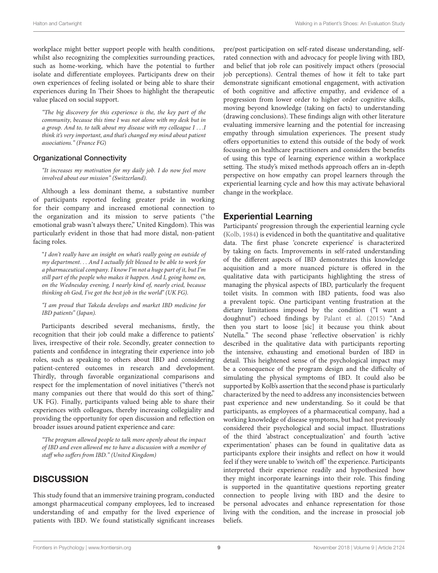workplace might better support people with health conditions, whilst also recognizing the complexities surrounding practices, such as home-working, which have the potential to further isolate and differentiate employees. Participants drew on their own experiences of feeling isolated or being able to share their experiences during In Their Shoes to highlight the therapeutic value placed on social support.

"The big discovery for this experience is the, the key part of the community, because this time I was not alone with my desk but in a group. And to, to talk about my disease with my colleague I . . .I think it's very important, and that's changed my mind about patient associations." (France FG)

#### Organizational Connectivity

"It increases my motivation for my daily job. I do now feel more involved about our mission" (Switzerland).

Although a less dominant theme, a substantive number of participants reported feeling greater pride in working for their company and increased emotional connection to the organization and its mission to serve patients ("the emotional grab wasn't always there," United Kingdom). This was particularly evident in those that had more distal, non-patient facing roles.

"I don't really have an insight on what's really going on outside of my department. . . And I actually felt blessed to be able to work for a pharmaceutical company. I know I'm not a huge part of it, but I'm still part of the people who makes it happen. And I, going home on, on the Wednesday evening, I nearly kind of, nearly cried, because thinking oh God, I've got the best job in the world" (UK FG).

"I am proud that Takeda develops and market IBD medicine for IBD patients" (Japan).

Participants described several mechanisms, firstly, the recognition that their job could make a difference to patients' lives, irrespective of their role. Secondly, greater connection to patients and confidence in integrating their experience into job roles, such as speaking to others about IBD and considering patient-centered outcomes in research and development. Thirdly, through favorable organizational comparisons and respect for the implementation of novel initiatives ("there's not many companies out there that would do this sort of thing," UK FG). Finally, participants valued being able to share their experiences with colleagues, thereby increasing collegiality and providing the opportunity for open discussion and reflection on broader issues around patient experience and care:

"The program allowed people to talk more openly about the impact of IBD and even allowed me to have a discussion with a member of staff who suffers from IBD." (United Kingdom)

### **DISCUSSION**

This study found that an immersive training program, conducted amongst pharmaceutical company employees, led to increased understanding of and empathy for the lived experience of patients with IBD. We found statistically significant increases

pre/post participation on self-rated disease understanding, selfrated connection with and advocacy for people living with IBD, and belief that job role can positively impact others (prosocial job perceptions). Central themes of how it felt to take part demonstrate significant emotional engagement, with activation of both cognitive and affective empathy, and evidence of a progression from lower order to higher order cognitive skills, moving beyond knowledge (taking on facts) to understanding (drawing conclusions). These findings align with other literature evaluating immersive learning and the potential for increasing empathy through simulation experiences. The present study offers opportunities to extend this outside of the body of work focussing on healthcare practitioners and considers the benefits of using this type of learning experience within a workplace setting. The study's mixed methods approach offers an in-depth perspective on how empathy can propel learners through the experiential learning cycle and how this may activate behavioral change in the workplace.

### Experiential Learning

Participants' progression through the experiential learning cycle [\(Kolb,](#page-11-4) [1984\)](#page-11-4) is evidenced in both the quantitative and qualitative data. The first phase 'concrete experience' is characterized by taking on facts. Improvements in self-rated understanding of the different aspects of IBD demonstrates this knowledge acquisition and a more nuanced picture is offered in the qualitative data with participants highlighting the stress of managing the physical aspects of IBD, particularly the frequent toilet visits. In common with IBD patients, food was also a prevalent topic. One participant venting frustration at the dietary limitations imposed by the condition ("I want a doughnut") echoed findings by [Palant et al.](#page-12-22) [\(2015\)](#page-12-22) "And then you start to loose [sic] it because you think about Nutella." The second phase 'reflective observation' is richly described in the qualitative data with participants reporting the intensive, exhausting and emotional burden of IBD in detail. This heightened sense of the psychological impact may be a consequence of the program design and the difficulty of simulating the physical symptoms of IBD. It could also be supported by Kolb's assertion that the second phase is particularly characterized by the need to address any inconsistencies between past experience and new understanding. So it could be that participants, as employees of a pharmaceutical company, had a working knowledge of disease symptoms, but had not previously considered their psychological and social impact. Illustrations of the third 'abstract conceptualization' and fourth 'active experimentation' phases can be found in qualitative data as participants explore their insights and reflect on how it would feel if they were unable to 'switch off' the experience. Participants interpreted their experience readily and hypothesized how they might incorporate learnings into their role. This finding is supported in the quantitative questions reporting greater connection to people living with IBD and the desire to be personal advocates and enhance representation for those living with the condition, and the increase in prosocial job beliefs.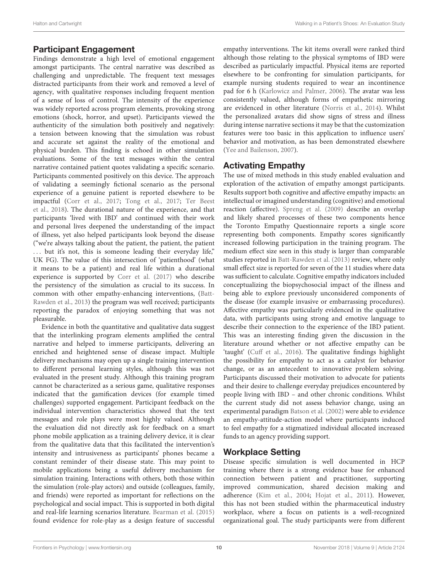### Participant Engagement

Findings demonstrate a high level of emotional engagement amongst participants. The central narrative was described as challenging and unpredictable. The frequent text messages distracted participants from their work and removed a level of agency, with qualitative responses including frequent mention of a sense of loss of control. The intensity of the experience was widely reported across program elements, provoking strong emotions (shock, horror, and upset). Participants viewed the authenticity of the simulation both positively and negatively: a tension between knowing that the simulation was robust and accurate set against the reality of the emotional and physical burden. This finding is echoed in other simulation evaluations. Some of the text messages within the central narrative contained patient quotes validating a specific scenario. Participants commented positively on this device. The approach of validating a seemingly fictional scenario as the personal experience of a genuine patient is reported elsewhere to be impactful [\(Corr et al.,](#page-11-16) [2017;](#page-11-16) [Tong et al.,](#page-12-9) [2017;](#page-12-9) [Ter Beest](#page-12-26) [et al.,](#page-12-26) [2018\)](#page-12-26). The durational nature of the experience, and that participants 'lived with IBD' and continued with their work and personal lives deepened the understanding of the impact of illness, yet also helped participants look beyond the disease ("we're always talking about the patient, the patient, the patient ... but it's not, this is someone leading their everyday life," UK FG). The value of this intersection of 'patienthood' (what it means to be a patient) and real life within a durational experience is supported by [Corr et al.](#page-11-16) [\(2017\)](#page-11-16) who describe the persistency of the simulation as crucial to its success. In common with other empathy-enhancing interventions, [\(Batt-](#page-11-6)[Rawden et al.,](#page-11-6) [2013\)](#page-11-6) the program was well received; participants reporting the paradox of enjoying something that was not pleasurable.

Evidence in both the quantitative and qualitative data suggest that the interlinking program elements amplified the central narrative and helped to immerse participants, delivering an enriched and heightened sense of disease impact. Multiple delivery mechanisms may open up a single training intervention to different personal learning styles, although this was not evaluated in the present study. Although this training program cannot be characterized as a serious game, qualitative responses indicated that the gamification devices (for example timed challenges) supported engagement. Participant feedback on the individual intervention characteristics showed that the text messages and role plays were most highly valued. Although the evaluation did not directly ask for feedback on a smart phone mobile application as a training delivery device, it is clear from the qualitative data that this facilitated the intervention's intensity and intrusiveness as participants' phones became a constant reminder of their disease state. This may point to mobile applications being a useful delivery mechanism for simulation training. Interactions with others, both those within the simulation (role-play actors) and outside (colleagues, family, and friends) were reported as important for reflections on the psychological and social impact. This is supported in both digital and real-life learning scenarios literature. [Bearman et al.](#page-11-14) [\(2015\)](#page-11-14) found evidence for role-play as a design feature of successful

empathy interventions. The kit items overall were ranked third although those relating to the physical symptoms of IBD were described as particularly impactful. Physical items are reported elsewhere to be confronting for simulation participants, for example nursing students required to wear an incontinence pad for 6 h [\(Karlowicz and Palmer,](#page-11-40) [2006\)](#page-11-40). The avatar was less consistently valued, although forms of empathetic mirroring are evidenced in other literature [\(Norris et al.,](#page-12-17) [2014\)](#page-12-17). Whilst the personalized avatars did show signs of stress and illness during intense narrative sections it may be that the customization features were too basic in this application to influence users' behavior and motivation, as has been demonstrated elsewhere [\(Yee and Bailenson,](#page-12-27) [2007\)](#page-12-27).

# Activating Empathy

The use of mixed methods in this study enabled evaluation and exploration of the activation of empathy amongst participants. Results support both cognitive and affective empathy impacts: an intellectual or imagined understanding (cognitive) and emotional reaction (affective). [Spreng et al.](#page-12-24) [\(2009\)](#page-12-24) describe an overlap and likely shared processes of these two components hence the Toronto Empathy Questionnaire reports a single score representing both components. Empathy scores significantly increased following participation in the training program. The medium effect size seen in this study is larger than comparable studies reported in [Batt-Rawden et al.](#page-11-6) [\(2013\)](#page-11-6) review, where only small effect size is reported for seven of the 11 studies where data was sufficient to calculate. Cognitive empathy indicators included conceptualizing the biopsychosocial impact of the illness and being able to explore previously unconsidered components of the disease (for example invasive or embarrassing procedures). Affective empathy was particularly evidenced in the qualitative data, with participants using strong and emotive language to describe their connection to the experience of the IBD patient. This was an interesting finding given the discussion in the literature around whether or not affective empathy can be 'taught' [\(Cuff et al.,](#page-11-7) [2016\)](#page-11-7). The qualitative findings highlight the possibility for empathy to act as a catalyst for behavior change, or as an antecedent to innovative problem solving. Participants discussed their motivation to advocate for patients and their desire to challenge everyday prejudices encountered by people living with IBD – and other chronic conditions. Whilst the current study did not assess behavior change, using an experimental paradigm [Batson et al.](#page-11-41) [\(2002\)](#page-11-41) were able to evidence an empathy-attitude-action model where participants induced to feel empathy for a stigmatized individual allocated increased funds to an agency providing support.

### Workplace Setting

Disease specific simulation is well documented in HCP training where there is a strong evidence base for enhanced connection between patient and practitioner, supporting improved communication, shared decision making and adherence [\(Kim et al.,](#page-11-9) [2004;](#page-11-9) [Hojat et al.,](#page-11-11) [2011\)](#page-11-11). However, this has not been studied within the pharmaceutical industry workplace, where a focus on patients is a well-recognized organizational goal. The study participants were from different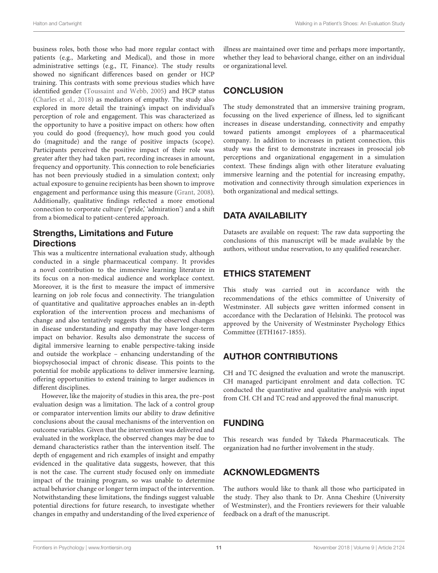business roles, both those who had more regular contact with patients (e.g., Marketing and Medical), and those in more administrative settings (e.g., IT, Finance). The study results showed no significant differences based on gender or HCP training. This contrasts with some previous studies which have identified gender [\(Toussaint and Webb,](#page-12-28) [2005\)](#page-12-28) and HCP status [\(Charles et al.,](#page-11-42) [2018\)](#page-11-42) as mediators of empathy. The study also explored in more detail the training's impact on individual's perception of role and engagement. This was characterized as the opportunity to have a positive impact on others: how often you could do good (frequency), how much good you could do (magnitude) and the range of positive impacts (scope). Participants perceived the positive impact of their role was greater after they had taken part, recording increases in amount, frequency and opportunity. This connection to role beneficiaries has not been previously studied in a simulation context; only actual exposure to genuine recipients has been shown to improve engagement and performance using this measure [\(Grant,](#page-11-22) [2008\)](#page-11-22). Additionally, qualitative findings reflected a more emotional connection to corporate culture ('pride,' 'admiration') and a shift from a biomedical to patient-centered approach.

### Strengths, Limitations and Future **Directions**

This was a multicentre international evaluation study, although conducted in a single pharmaceutical company. It provides a novel contribution to the immersive learning literature in its focus on a non-medical audience and workplace context. Moreover, it is the first to measure the impact of immersive learning on job role focus and connectivity. The triangulation of quantitative and qualitative approaches enables an in-depth exploration of the intervention process and mechanisms of change and also tentatively suggests that the observed changes in disease understanding and empathy may have longer-term impact on behavior. Results also demonstrate the success of digital immersive learning to enable perspective-taking inside and outside the workplace – enhancing understanding of the biopsychosocial impact of chronic disease. This points to the potential for mobile applications to deliver immersive learning, offering opportunities to extend training to larger audiences in different disciplines.

However, like the majority of studies in this area, the pre–post evaluation design was a limitation. The lack of a control group or comparator intervention limits our ability to draw definitive conclusions about the causal mechanisms of the intervention on outcome variables. Given that the intervention was delivered and evaluated in the workplace, the observed changes may be due to demand characteristics rather than the intervention itself. The depth of engagement and rich examples of insight and empathy evidenced in the qualitative data suggests, however, that this is not the case. The current study focused only on immediate impact of the training program, so was unable to determine actual behavior change or longer term impact of the intervention. Notwithstanding these limitations, the findings suggest valuable potential directions for future research, to investigate whether changes in empathy and understanding of the lived experience of illness are maintained over time and perhaps more importantly, whether they lead to behavioral change, either on an individual or organizational level.

# **CONCLUSION**

The study demonstrated that an immersive training program, focussing on the lived experience of illness, led to significant increases in disease understanding, connectivity and empathy toward patients amongst employees of a pharmaceutical company. In addition to increases in patient connection, this study was the first to demonstrate increases in prosocial job perceptions and organizational engagement in a simulation context. These findings align with other literature evaluating immersive learning and the potential for increasing empathy, motivation and connectivity through simulation experiences in both organizational and medical settings.

# DATA AVAILABILITY

Datasets are available on request: The raw data supporting the conclusions of this manuscript will be made available by the authors, without undue reservation, to any qualified researcher.

# ETHICS STATEMENT

This study was carried out in accordance with the recommendations of the ethics committee of University of Westminster. All subjects gave written informed consent in accordance with the Declaration of Helsinki. The protocol was approved by the University of Westminster Psychology Ethics Committee (ETH1617-1855).

# AUTHOR CONTRIBUTIONS

CH and TC designed the evaluation and wrote the manuscript. CH managed participant enrolment and data collection. TC conducted the quantitative and qualitative analysis with input from CH. CH and TC read and approved the final manuscript.

# FUNDING

This research was funded by Takeda Pharmaceuticals. The organization had no further involvement in the study.

# ACKNOWLEDGMENTS

The authors would like to thank all those who participated in the study. They also thank to Dr. Anna Cheshire (University of Westminster), and the Frontiers reviewers for their valuable feedback on a draft of the manuscript.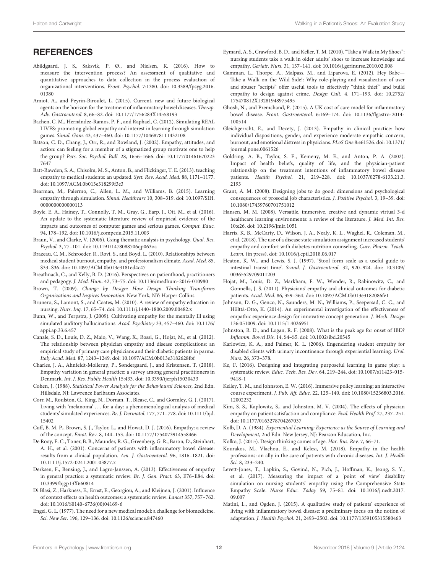### **REFERENCES**

- <span id="page-11-35"></span>Abildgaard, J. S., Saksvik, P. Ø., and Nielsen, K. (2016). How to measure the intervention process? An assessment of qualitative and quantitative approaches to data collection in the process evaluation of organizational interventions. Front. Psychol. 7:1380. [doi: 10.3389/fpsyg.2016.](https://doi.org/10.3389/fpsyg.2016.01380) [01380](https://doi.org/10.3389/fpsyg.2016.01380)
- <span id="page-11-34"></span>Amiot, A., and Peyrin-Biroulet, L. (2015). Current, new and future biological agents on the horizon for the treatment of inflammatory bowel diseases. Therap. Adv. Gastroenterol. 8, 66–82. [doi: 10.1177/1756283X14558193](https://doi.org/10.1177/1756283X14558193)
- <span id="page-11-3"></span>Bachen, C. M., Hernández-Ramos, P. F., and Raphael, C. (2012). Simulating REAL LIVES: promoting global empathy and interest in learning through simulation games. Simul. Gam. 43, 437–460. [doi: 10.1177/1046878111432108](https://doi.org/10.1177/1046878111432108)
- <span id="page-11-41"></span>Batson, C. D., Chang, J., Orr, R., and Rowland, J. (2002). Empathy, attitudes, and action: can feeling for a member of a stigmatized group motivate one to help the group? Pers. Soc. Psychol. Bull. 28, 1656–1666. [doi: 10.1177/01461670223](https://doi.org/10.1177/014616702237647) [7647](https://doi.org/10.1177/014616702237647)
- <span id="page-11-6"></span>Batt-Rawden, S. A., Chisolm, M. S., Anton, B., and Flickinger, T. E. (2013). teaching empathy to medical students: an updated. Syst. Rev. Acad. Med. 88, 1171–1177. [doi: 10.1097/ACM.0b013e318299f3e3](https://doi.org/10.1097/ACM.0b013e318299f3e3)
- <span id="page-11-14"></span>Bearman, M., Palermo, C., Allen, L. M., and Williams, B. (2015). Learning empathy through simulation. Simul. Healthcare 10, 308–319. [doi: 10.1097/SIH.](https://doi.org/10.1097/SIH.0000000000000113) 000000000000113
- <span id="page-11-21"></span>Boyle, E. A., Hainey, T., Connolly, T. M., Gray, G., Earp, J., Ott, M., et al. (2016). An update to the systematic literature review of empirical evidence of the impacts and outcomes of computer games and serious games. Comput. Educ. 94, 178–192. [doi: 10.1016/j.compedu.2015.11.003](https://doi.org/10.1016/j.compedu.2015.11.003)
- <span id="page-11-39"></span>Braun, V., and Clarke, V. (2006). Using thematic analysis in psychology. Qual. Res. Psychol. 3, 77–101. [doi: 10.1191/1478088706qp063oa](https://doi.org/10.1191/1478088706qp063oa)
- <span id="page-11-23"></span>Brazeau, C. M., Schroeder, R., Rovi, S., and Boyd, L. (2010). Relationships between medical student burnout, empathy, and professionalism climate. Acad. Med. 85, S33–S36. [doi: 10.1097/ACM.0b013e3181ed4c47](https://doi.org/10.1097/ACM.0b013e3181ed4c47)
- <span id="page-11-8"></span>Breathnach, C., and Kelly, B. D. (2016). Perspectives on patienthood, practitioners and pedagogy. J. Med. Hum. 42, 73–75. [doi: 10.1136/medhum-2016-010980](https://doi.org/10.1136/medhum-2016-010980)
- <span id="page-11-25"></span>Brown, T. (2009). Change by Design: How Design Thinking Transforms Organizations and Inspires Innovation. New York, NY: Harper Collins.
- <span id="page-11-15"></span>Brunero, S., Lamont, S., and Coates, M. (2010). A review of empathy education in nursing. Nurs. Inq. 17, 65–74. [doi: 10.1111/j.1440-1800.2009.00482.x](https://doi.org/10.1111/j.1440-1800.2009.00482.x)
- <span id="page-11-18"></span>Bunn, W., and Terpstra, J. (2009). Cultivating empathy for the mentally Ill using simulated auditory hallucinations. Acad. Psychiatry 33, 457–460. [doi: 10.1176/](https://doi.org/10.1176/appi.ap.33.6.457) [appi.ap.33.6.457](https://doi.org/10.1176/appi.ap.33.6.457)
- <span id="page-11-12"></span>Canale, S. D., Louis, D. Z., Maio, V., Wang, X., Rossi, G., Hojat, M., et al. (2012). The relationship between physician empathy and disease complications: an empirical study of primary care physicians and their diabetic patients in parma. Italy Acad. Med. 87, 1243–1249. [doi: 10.1097/ACM.0b013e3182628fbf](https://doi.org/10.1097/ACM.0b013e3182628fbf)
- <span id="page-11-42"></span>Charles, J. A., Ahnfeldt-Mollerup, P., Søndergaard, J., and Kristensen, T. (2018). Empathy variation in general practice: a survey among general practitioners in Denmark. Int. J. Res. Public Health 15:433. [doi: 10.3390/ijerph15030433](https://doi.org/10.3390/ijerph15030433)
- <span id="page-11-38"></span>Cohen, J. (1988). Statistical Power Analysis for the Behavioural Sciences, 2nd Edn. Hillsdale, NJ: Lawrence Earlbaum Associates.
- <span id="page-11-16"></span>Corr, M., Roulston, G., King, N., Dornan, T., Blease, C., and Gormley, G. J. (2017). Living with 'melanoma' . . . for a day: a phenomenological analysis of medical students' simulated experiences. Br. J. Dermatol. 177, 771–778. [doi: 10.1111/bjd.](https://doi.org/10.1111/bjd.15402) [15402](https://doi.org/10.1111/bjd.15402)
- <span id="page-11-7"></span>Cuff, B. M. P., Brown, S. J., Taylor, L., and Howat, D. J. (2016). Empathy: a review of the concept. Emot. Rev. 8, 144–153. [doi: 10.1177/1754073914558466](https://doi.org/10.1177/1754073914558466)
- <span id="page-11-29"></span>De Rooy, E. C., Toner, B. B., Maunder, R. G., Greenberg, G. R., Baron, D., Steinhart, A. H., et al. (2001). Concerns of patients with inflammatory bowel disease: results from a clinical population. Am. J. Gastroenterol. 96, 1816–1821. [doi:](https://doi.org/10.1111/j.1572-0241.2001.03877.x) [10.1111/j.1572-0241.2001.03877.x](https://doi.org/10.1111/j.1572-0241.2001.03877.x)
- <span id="page-11-13"></span>Derksen, F., Bensing, J., and Lagro-Janssen, A. (2013). Effectiveness of empathy in general practice: a systematic review. Br. J. Gen. Pract. 63, E76–E84. [doi:](https://doi.org/10.3399/bjgp13X660814) [10.3399/bjgp13X660814](https://doi.org/10.3399/bjgp13X660814)
- <span id="page-11-10"></span>Di Blasi, Z., Harkness, E., Ernst, E., Georgiou, A., and Kleijnen, J. (2001). Influence of context effects on health outcomes: a systematic review. Lancet 357, 757–762. [doi: 10.1016/S0140-6736\(00\)04169-6](https://doi.org/10.1016/S0140-6736(00)04169-6)
- <span id="page-11-36"></span>Engel, G. L. (1977). The need for a new medical model: a challenge for biomedicine. Sci. New Ser. 196, 129–136. [doi: 10.1126/science.847460](https://doi.org/10.1126/science.847460)
- <span id="page-11-17"></span>Eymard, A. S., Crawford, B. D., and Keller, T. M. (2010). "Take a Walk in My Shoes": nursing students take a walk in older adults' shoes to increase knowledge and empathy. Geriatr. Nurs. 31, 137–141. [doi: 10.1016/j.gerinurse.2010.02.008](https://doi.org/10.1016/j.gerinurse.2010.02.008)
- <span id="page-11-28"></span>Gamman, L., Thorpe, A., Malpass, M., and Liparova, E. (2012). Hey Babe— Take a Walk on the Wild Side!: Why role-playing and visualization of user and abuser "scripts" offer useful tools to effectively "think thief" and build empathy to design against crime. Design Cult. 4, 171–193. [doi: 10.2752/](https://doi.org/10.2752/175470812X13281948975495) [175470812X13281948975495](https://doi.org/10.2752/175470812X13281948975495)
- <span id="page-11-32"></span>Ghosh, N., and Premchand, P. (2015). A UK cost of care model for inflammatory bowel disease. Front. Gastroenterol. 6:169–174. [doi: 10.1136/flgastro-2014-](https://doi.org/10.1136/flgastro-2014-100514) [100514](https://doi.org/10.1136/flgastro-2014-100514)
- <span id="page-11-24"></span>Gleichgerrcht, E., and Decety, J. (2013). Empathy in clinical practice: how individual dispositions, gender, and experience moderate empathic concern, burnout, and emotional distress in physicians. PLoS One 8:e61526. [doi: 10.1371/](https://doi.org/10.1371/journal.pone.0061526) [journal.pone.0061526](https://doi.org/10.1371/journal.pone.0061526)
- <span id="page-11-31"></span>Goldring, A. B., Taylor, S. E., Kemeny, M. E., and Anton, P. A. (2002). Impact of health beliefs, quality of life, and the physician-patient relationship on the treatment intentions of inflammatory bowel disease patients. Health Psychol. 21, 219–228. [doi: 10.1037/0278-6133.21.3.](https://doi.org/10.1037/0278-6133.21.3.2193) [2193](https://doi.org/10.1037/0278-6133.21.3.2193)
- <span id="page-11-22"></span>Grant, A. M. (2008). Designing jobs to do good: dimensions and psychological consequences of prosocial job characteristics. J. Positive Psychol. 3, 19–39. [doi:](https://doi.org/10.1080/17439760701751012) [10.1080/17439760701751012](https://doi.org/10.1080/17439760701751012)
- <span id="page-11-1"></span>Hansen, M. M. (2008). Versatile, immersive, creative and dynamic virtual 3-d healthcare learning environments: a review of the literature. J. Med. Int. Res. 10:e26. [doi: 10.2196/jmir.1051](https://doi.org/10.2196/jmir.1051)
- <span id="page-11-19"></span>Harris, K. B., McCarty, D., Wilson, J. A., Nealy, K. L., Waghel, R., Coleman, M., et al. (2018). The use of a disease state simulation assignment increased students' empathy and comfort with diabetes nutrition counseling. Curr. Pharm. Teach. Learn. (in press). [doi: 10.1016/j.cptl.2018.06.017](https://doi.org/10.1016/j.cptl.2018.06.017)
- <span id="page-11-37"></span>Heaton, K. W., and Lewis, S. J. (1997). 'Stool form scale as a useful guide to intestinal transit time'. Scand. J. Gastroenterol. 32, 920–924. [doi: 10.3109/](https://doi.org/10.3109/00365529709011203) [00365529709011203](https://doi.org/10.3109/00365529709011203)
- <span id="page-11-11"></span>Hojat, M., Louis, D. Z., Markham, F. W., Wender, R., Rabinowitz, C., and Gonnella, J. S. (2011). Physicians' empathy and clinical outcomes for diabetic patients. Acad. Med. 86, 359–364. [doi: 10.1097/ACM.0b013e3182086fe1](https://doi.org/10.1097/ACM.0b013e3182086fe1)
- <span id="page-11-27"></span>Johnson, D. G., Genco, N., Saunders, M. N., Williams, P., Seepersad, C. C., and Hölttä-Otto, K. (2014). An experimental investigation of the effectiveness of empathic experience design for innovative concept generation. J. Mech. Design 136:051009. [doi: 10.1115/1.4026951](https://doi.org/10.1115/1.4026951)
- <span id="page-11-33"></span>Johnston, R. D., and Logan, R. F. (2008). What is the peak age for onset of IBD? Inflamm. Bowel Dis. 14, S4–S5. [doi: 10.1002/ibd.20545](https://doi.org/10.1002/ibd.20545)
- <span id="page-11-40"></span>Karlowicz, K. A., and Palmer, K. L. (2006). Engendering student empathy for disabled clients with urinary incontinence through experiential learning. Urol. Nurs. 26, 373–378.
- <span id="page-11-0"></span>Ke, F. (2016). Designing and integrating purposeful learning in game play: a systematic review. Educ. Tech. Res. Dev. 64, 219–244. [doi: 10.1007/s11423-015-](https://doi.org/10.1007/s11423-015-9418-1) [9418-1](https://doi.org/10.1007/s11423-015-9418-1)
- <span id="page-11-2"></span>Kelley, T. M., and Johnston, E. W. (2016). Immersive policy learning: an interactive course experiment. J. Pub. Aff. Educ. 22, 125–140. [doi: 10.1080/15236803.2016.](https://doi.org/10.1080/15236803.2016.12002232) [12002232](https://doi.org/10.1080/15236803.2016.12002232)
- <span id="page-11-9"></span>Kim, S. S., Kaplowitz, S., and Johnston, M. V. (2004). The effects of physician empathy on patient satisfaction and compliance. Eval. Health Prof. 27, 237–251. [doi: 10.1177/0163278704267037](https://doi.org/10.1177/0163278704267037)
- <span id="page-11-4"></span>Kolb, D. A. (1984). Experiential Learning: Experience as the Source of Learning and Development, 2nd Edn. New Jersey, NJ: Pearson Education, Inc.
- <span id="page-11-26"></span>Kolko, J. (2015). Design thinking comes of age. Har. Bus. Rev. 7, 66–71.
- <span id="page-11-5"></span>Kourakos, M., Vlachou, E., and Kelesi, M. (2018). Empathy in the health professions: an ally in the care of patients with chronic diseases. Int. J. Health Sci. 8, 233–240.
- <span id="page-11-20"></span>Levett-Jones, T., Lapkin, S., Govind, N., Pich, J., Hoffman, K., Jeong, S. Y., et al. (2017). Measuring the impact of a 'point of view' disability simulation on nursing students' empathy using the Comprehensive State Empathy Scale. Nurse Educ. Today 59, 75–81. [doi: 10.1016/j.nedt.2017.](https://doi.org/10.1016/j.nedt.2017.09.007) [09.007](https://doi.org/10.1016/j.nedt.2017.09.007)
- <span id="page-11-30"></span>Matini, L., and Ogden, J. (2015). A qualitative study of patients' experience of living with inflammatory bowel disease: a preliminary focus on the notion of adaptation. J. Health Psychol. 21, 2493–2502. [doi: 10.1177/1359105315580463](https://doi.org/10.1177/1359105315580463)